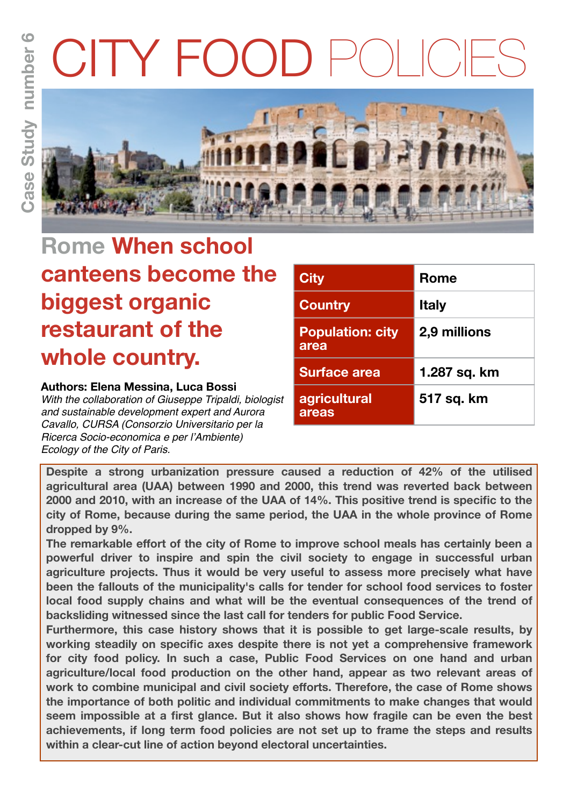# TY FOO



# **Rome When school canteens become the biggest organic restaurant of the whole country.**

#### **Authors: Elena Messina, Luca Bossi**

*With the collaboration of Giuseppe Tripaldi, biologist and sustainable development expert and Aurora Cavallo, CURSA (Consorzio Universitario per la Ricerca Socio-economica e per l'Ambiente) Ecology of the City of Paris.*

| <b>City</b>                     | Rome         |
|---------------------------------|--------------|
| <b>Country</b>                  | <b>Italy</b> |
| <b>Population: city</b><br>area | 2,9 millions |
| <b>Surface area</b>             | 1.287 sq. km |
| agricultural<br><b>areas</b>    | 517 sq. km   |

**Despite a strong urbanization pressure caused a reduction of 42% of the utilised agricultural area (UAA) between 1990 and 2000, this trend was reverted back between 2000 and 2010, with an increase of the UAA of 14%. This positive trend is specific to the city of Rome, because during the same period, the UAA in the whole province of Rome dropped by 9%.** 

**The remarkable effort of the city of Rome to improve school meals has certainly been a powerful driver to inspire and spin the civil society to engage in successful urban agriculture projects. Thus it would be very useful to assess more precisely what have been the fallouts of the municipality's calls for tender for school food services to foster local food supply chains and what will be the eventual consequences of the trend of backsliding witnessed since the last call for tenders for public Food Service.**

**Furthermore, this case history shows that it is possible to get large-scale results, by working steadily on specific axes despite there is not yet a comprehensive framework for city food policy. In such a case, Public Food Services on one hand and urban agriculture/local food production on the other hand, appear as two relevant areas of work to combine municipal and civil society efforts. Therefore, the case of Rome shows the importance of both politic and individual commitments to make changes that would seem impossible at a first glance. But it also shows how fragile can be even the best achievements, if long term food policies are not set up to frame the steps and results within a clear-cut line of action beyond electoral uncertainties.**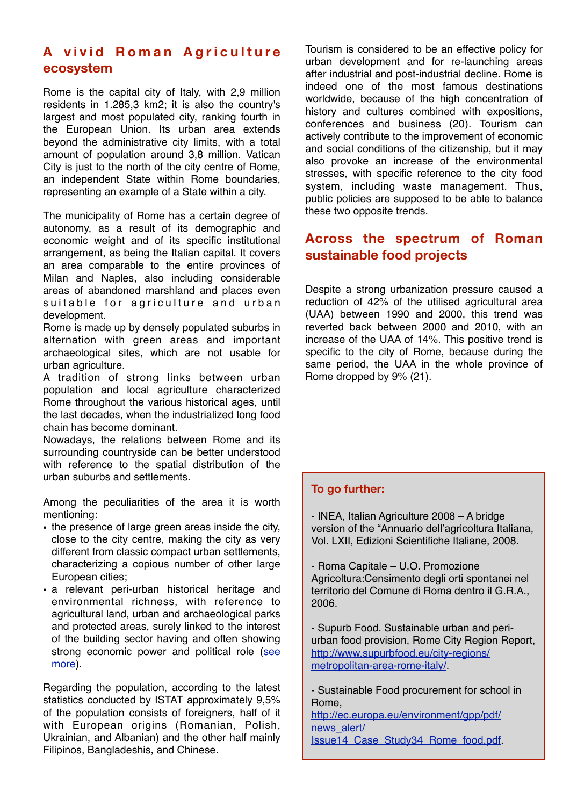# **A vivid Roman Agriculture ecosystem**

Rome is the capital city of Italy, with 2,9 million residents in 1.285,3 km2; it is also the country's largest and most populated city, ranking fourth in the European Union. Its urban area extends beyond the administrative city limits, with a total amount of population around 3,8 million. Vatican City is just to the north of the city centre of Rome, an independent State within Rome boundaries, representing an example of a State within a city.

The municipality of Rome has a certain degree of autonomy, as a result of its demographic and economic weight and of its specific institutional arrangement, as being the Italian capital. It covers an area comparable to the entire provinces of Milan and Naples, also including considerable areas of abandoned marshland and places even suitable for agriculture and urban development.

Rome is made up by densely populated suburbs in alternation with green areas and important archaeological sites, which are not usable for urban agriculture.

A tradition of strong links between urban population and local agriculture characterized Rome throughout the various historical ages, until the last decades, when the industrialized long food chain has become dominant.

Nowadays, the relations between Rome and its surrounding countryside can be better understood with reference to the spatial distribution of the urban suburbs and settlements.

Among the peculiarities of the area it is worth mentioning:

- the presence of large green areas inside the city, close to the city centre, making the city as very different from classic compact urban settlements, characterizing a copious number of other large European cities;
- a relevant peri-urban historical heritage and environmental richness, with reference to agricultural land, urban and archaeological parks and protected areas, surely linked to the interest of the building sector having and often showing strong economic power and political role (see [more\)](http://www.supurbfood.eu/city-regions/metropolitan-area-rome-italy/).

Regarding the population, according to the latest statistics conducted by ISTAT approximately 9,5% of the population consists of foreigners, half of it with European origins (Romanian, Polish, Ukrainian, and Albanian) and the other half mainly Filipinos, Bangladeshis, and Chinese.

Tourism is considered to be an effective policy for urban development and for re-launching areas after industrial and post-industrial decline. Rome is indeed one of the most famous destinations worldwide, because of the high concentration of history and cultures combined with expositions, conferences and business (20). Tourism can actively contribute to the improvement of economic and social conditions of the citizenship, but it may also provoke an increase of the environmental stresses, with specific reference to the city food system, including waste management. Thus, public policies are supposed to be able to balance these two opposite trends.

# **Across the spectrum of Roman sustainable food projects**

Despite a strong urbanization pressure caused a reduction of 42% of the utilised agricultural area (UAA) between 1990 and 2000, this trend was reverted back between 2000 and 2010, with an increase of the UAA of 14%. This positive trend is specific to the city of Rome, because during the same period, the UAA in the whole province of Rome dropped by 9% (21).

#### **To go further:**

- INEA, Italian Agriculture 2008 – A bridge version of the "Annuario dell'agricoltura Italiana, Vol. LXII, Edizioni Scientifiche Italiane, 2008.

- Roma Capitale – U.O. Promozione Agricoltura:Censimento degli orti spontanei nel territorio del Comune di Roma dentro il G.R.A., 2006.

- Supurb Food. Sustainable urban and periurban food provision, Rome City Region Report, [http://www.supurbfood.eu/city-regions/](http://www.supurbfood.eu/city-regions/metropolitan-area-rome-italy/) [metropolitan-area-rome-italy/.](http://www.supurbfood.eu/city-regions/metropolitan-area-rome-italy/)

- Sustainable Food procurement for school in Rome,

[http://ec.europa.eu/environment/gpp/pdf/](http://ec.europa.eu/environment/gpp/pdf/news_alert/Issue14_Case_Study34_Rome_food.pdf) [news\\_alert/](http://ec.europa.eu/environment/gpp/pdf/news_alert/Issue14_Case_Study34_Rome_food.pdf) [Issue14\\_Case\\_Study34\\_Rome\\_food.pdf.](http://ec.europa.eu/environment/gpp/pdf/news_alert/Issue14_Case_Study34_Rome_food.pdf)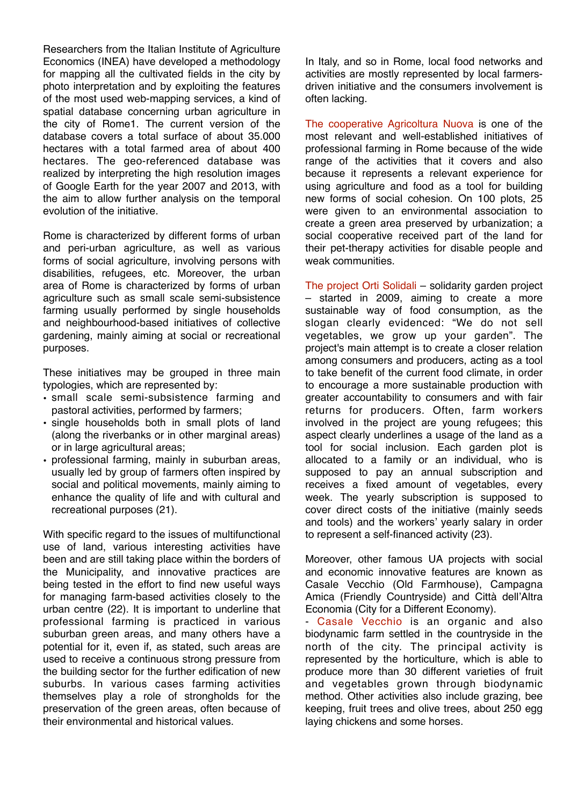Researchers from the Italian Institute of Agriculture Economics (INEA) have developed a methodology for mapping all the cultivated fields in the city by photo interpretation and by exploiting the features of the most used web-mapping services, a kind of spatial database concerning urban agriculture in the city of Rome1. The current version of the database covers a total surface of about 35.000 hectares with a total farmed area of about 400 hectares. The geo-referenced database was realized by interpreting the high resolution images of Google Earth for the year 2007 and 2013, with the aim to allow further analysis on the temporal evolution of the initiative.

Rome is characterized by different forms of urban and peri-urban agriculture, as well as various forms of social agriculture, involving persons with disabilities, refugees, etc. Moreover, the urban area of Rome is characterized by forms of urban agriculture such as small scale semi-subsistence farming usually performed by single households and neighbourhood-based initiatives of collective gardening, mainly aiming at social or recreational purposes.

These initiatives may be grouped in three main typologies, which are represented by:

- small scale semi-subsistence farming and pastoral activities, performed by farmers;
- single households both in small plots of land (along the riverbanks or in other marginal areas) or in large agricultural areas;
- professional farming, mainly in suburban areas, usually led by group of farmers often inspired by social and political movements, mainly aiming to enhance the quality of life and with cultural and recreational purposes (21).

With specific regard to the issues of multifunctional use of land, various interesting activities have been and are still taking place within the borders of the Municipality, and innovative practices are being tested in the effort to find new useful ways for managing farm-based activities closely to the urban centre (22). It is important to underline that professional farming is practiced in various suburban green areas, and many others have a potential for it, even if, as stated, such areas are used to receive a continuous strong pressure from the building sector for the further edification of new suburbs. In various cases farming activities themselves play a role of strongholds for the preservation of the green areas, often because of their environmental and historical values.

In Italy, and so in Rome, local food networks and activities are mostly represented by local farmersdriven initiative and the consumers involvement is often lacking.

The cooperative Agricoltura Nuova is one of the most relevant and well-established initiatives of professional farming in Rome because of the wide range of the activities that it covers and also because it represents a relevant experience for using agriculture and food as a tool for building new forms of social cohesion. On 100 plots, 25 were given to an environmental association to create a green area preserved by urbanization; a social cooperative received part of the land for their pet-therapy activities for disable people and weak communities.

The project Orti Solidali – solidarity garden project – started in 2009, aiming to create a more sustainable way of food consumption, as the slogan clearly evidenced: "We do not sell vegetables, we grow up your garden". The project's main attempt is to create a closer relation among consumers and producers, acting as a tool to take benefit of the current food climate, in order to encourage a more sustainable production with greater accountability to consumers and with fair returns for producers. Often, farm workers involved in the project are young refugees; this aspect clearly underlines a usage of the land as a tool for social inclusion. Each garden plot is allocated to a family or an individual, who is supposed to pay an annual subscription and receives a fixed amount of vegetables, every week. The yearly subscription is supposed to cover direct costs of the initiative (mainly seeds and tools) and the workers' yearly salary in order to represent a self-financed activity (23).

Moreover, other famous UA projects with social and economic innovative features are known as Casale Vecchio (Old Farmhouse), Campagna Amica (Friendly Countryside) and Città dell'Altra Economia (City for a Different Economy).

- Casale Vecchio is an organic and also biodynamic farm settled in the countryside in the north of the city. The principal activity is represented by the horticulture, which is able to produce more than 30 different varieties of fruit and vegetables grown through biodynamic method. Other activities also include grazing, bee keeping, fruit trees and olive trees, about 250 egg laying chickens and some horses.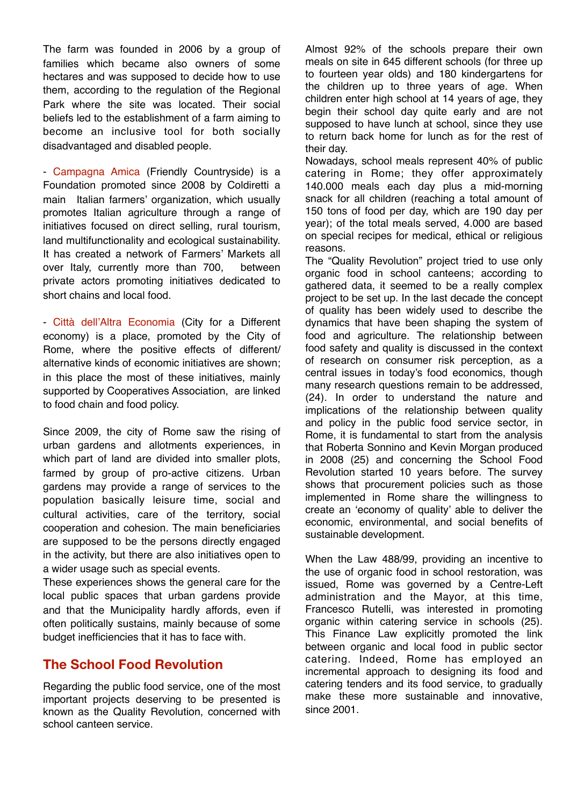The farm was founded in 2006 by a group of families which became also owners of some hectares and was supposed to decide how to use them, according to the regulation of the Regional Park where the site was located. Their social beliefs led to the establishment of a farm aiming to become an inclusive tool for both socially disadvantaged and disabled people.

- Campagna Amica (Friendly Countryside) is a Foundation promoted since 2008 by Coldiretti a main Italian farmers' organization, which usually promotes Italian agriculture through a range of initiatives focused on direct selling, rural tourism, land multifunctionality and ecological sustainability. It has created a network of Farmers' Markets all over Italy, currently more than 700, between private actors promoting initiatives dedicated to short chains and local food.

- Città dell'Altra Economia (City for a Different economy) is a place, promoted by the City of Rome, where the positive effects of different/ alternative kinds of economic initiatives are shown; in this place the most of these initiatives, mainly supported by Cooperatives Association, are linked to food chain and food policy.

Since 2009, the city of Rome saw the rising of urban gardens and allotments experiences, in which part of land are divided into smaller plots, farmed by group of pro-active citizens. Urban gardens may provide a range of services to the population basically leisure time, social and cultural activities, care of the territory, social cooperation and cohesion. The main beneficiaries are supposed to be the persons directly engaged in the activity, but there are also initiatives open to a wider usage such as special events.

These experiences shows the general care for the local public spaces that urban gardens provide and that the Municipality hardly affords, even if often politically sustains, mainly because of some budget inefficiencies that it has to face with.

### **The School Food Revolution**

Regarding the public food service, one of the most important projects deserving to be presented is known as the Quality Revolution, concerned with school canteen service.

Almost 92% of the schools prepare their own meals on site in 645 different schools (for three up to fourteen year olds) and 180 kindergartens for the children up to three years of age. When children enter high school at 14 years of age, they begin their school day quite early and are not supposed to have lunch at school, since they use to return back home for lunch as for the rest of their day.

Nowadays, school meals represent 40% of public catering in Rome; they offer approximately 140.000 meals each day plus a mid-morning snack for all children (reaching a total amount of 150 tons of food per day, which are 190 day per year); of the total meals served, 4.000 are based on special recipes for medical, ethical or religious reasons.

The "Quality Revolution" project tried to use only organic food in school canteens; according to gathered data, it seemed to be a really complex project to be set up. In the last decade the concept of quality has been widely used to describe the dynamics that have been shaping the system of food and agriculture. The relationship between food safety and quality is discussed in the context of research on consumer risk perception, as a central issues in today's food economics, though many research questions remain to be addressed, (24). In order to understand the nature and implications of the relationship between quality and policy in the public food service sector, in Rome, it is fundamental to start from the analysis that Roberta Sonnino and Kevin Morgan produced in 2008 (25) and concerning the School Food Revolution started 10 years before. The survey shows that procurement policies such as those implemented in Rome share the willingness to create an 'economy of quality' able to deliver the economic, environmental, and social benefits of sustainable development.

When the Law 488/99, providing an incentive to the use of organic food in school restoration, was issued, Rome was governed by a Centre-Left administration and the Mayor, at this time, Francesco Rutelli, was interested in promoting organic within catering service in schools (25). This Finance Law explicitly promoted the link between organic and local food in public sector catering. Indeed, Rome has employed an incremental approach to designing its food and catering tenders and its food service, to gradually make these more sustainable and innovative, since 2001.